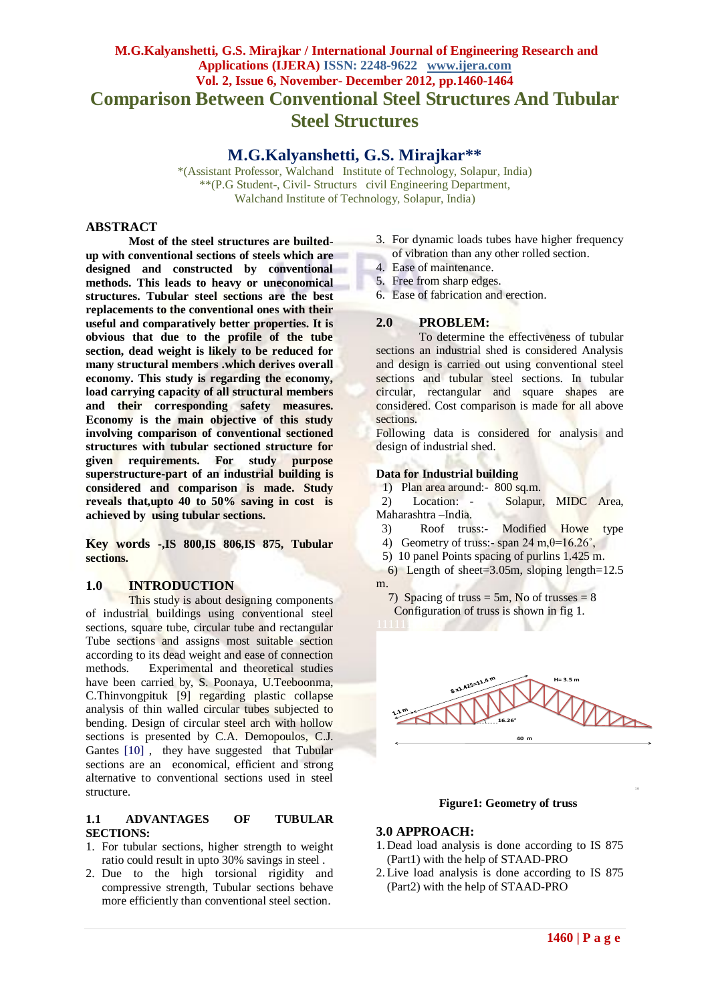# **M.G.Kalyanshetti, G.S. Mirajkar / International Journal of Engineering Research and Applications (IJERA) ISSN: 2248-9622 www.ijera.com Vol. 2, Issue 6, November- December 2012, pp.1460-1464 Comparison Between Conventional Steel Structures And Tubular Steel Structures**

## **M.G.Kalyanshetti, G.S. Mirajkar\*\***

\*(Assistant Professor, Walchand Institute of Technology, Solapur, India) \*\*(P.G Student-, Civil- Structurs civil Engineering Department, Walchand Institute of Technology, Solapur, India)

#### **ABSTRACT**

**Most of the steel structures are builtedup with conventional sections of steels which are designed and constructed by conventional methods. This leads to heavy or uneconomical structures. Tubular steel sections are the best replacements to the conventional ones with their useful and comparatively better properties. It is obvious that due to the profile of the tube section, dead weight is likely to be reduced for many structural members .which derives overall economy. This study is regarding the economy, load carrying capacity of all structural members and their corresponding safety measures. Economy is the main objective of this study involving comparison of conventional sectioned structures with tubular sectioned structure for given requirements. For study purpose superstructure-part of an industrial building is considered and comparison is made. Study reveals that,upto 40 to 50% saving in cost is achieved by using tubular sections.**

**Key words -,IS 800,IS 806,IS 875, Tubular sections.**

#### **1.0 INTRODUCTION**

This study is about designing components of industrial buildings using conventional steel sections, square tube, circular tube and rectangular Tube sections and assigns most suitable section according to its dead weight and ease of connection methods. Experimental and theoretical studies have been carried by, S. Poonaya, U.Teeboonma, C.Thinvongpituk [9] regarding plastic collapse analysis of thin walled circular tubes subjected to bending. Design of circular steel arch with hollow sections is presented by C.A. Demopoulos, C.J. Gantes [10], they have suggested that Tubular sections are an economical, efficient and strong alternative to conventional sections used in steel structure.

#### **1.1 ADVANTAGES OF TUBULAR SECTIONS:**

- 1. For tubular sections, higher strength to weight ratio could result in upto 30% savings in steel .
- 2. Due to the high torsional rigidity and compressive strength, Tubular sections behave more efficiently than conventional steel section.
- 3. For dynamic loads tubes have higher frequency
- of vibration than any other rolled section.
- 4. Ease of maintenance.
- 5. Free from sharp edges.
- 6. Ease of fabrication and erection.

#### **2.0 PROBLEM:**

To determine the effectiveness of tubular sections an industrial shed is considered Analysis and design is carried out using conventional steel sections and tubular steel sections. In tubular circular, rectangular and square shapes are considered. Cost comparison is made for all above sections.

Following data is considered for analysis and design of industrial shed.

#### **Data for Industrial building**

1) Plan area around:- 800 sq.m.

 2) Location: - Solapur, MIDC Area, Maharashtra –India.

- 3) Roof truss:- Modified Howe type 4) Geometry of truss:- span 24 m, $\theta$ =16.26°,
- 5) 10 panel Points spacing of purlins 1.425 m.
- 6) Length of sheet=3.05m, sloping length=12.5
- m.
	- 7) Spacing of truss = 5m, No of trusses =  $8$ Configuration of truss is shown in fig 1.



#### **Figure1:.Geometry of truss**

#### **3.0 APPROACH:**

- 1. Dead load analysis is done according to IS 875 (Part1) with the help of STAAD-PRO
- 2. Live load analysis is done according to IS 875 (Part2) with the help of STAAD-PRO

16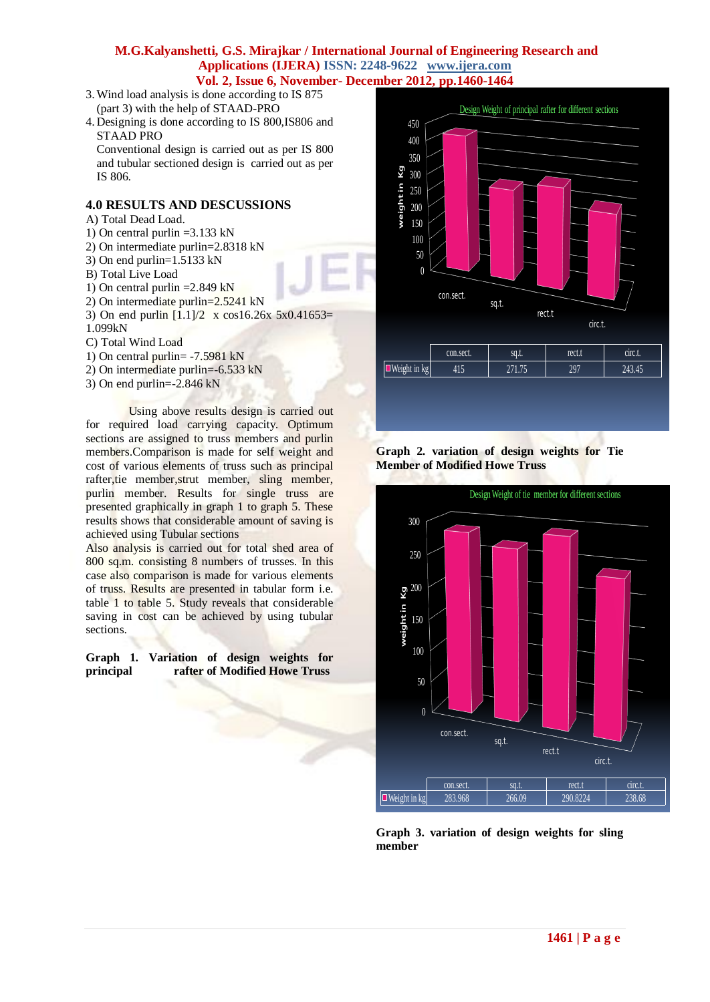- 3.Wind load analysis is done according to IS 875 ( (part 3) with the help of STAAD-PRO
- 4. Designing is done according to IS 800,IS806 and STAAD PRO

Conventional design is carried out as per IS 800 and tubular sectioned design is carried out as per IS 806.

### **4.0 RESULTS AND DESCUSSIONS**

- A) Total Dead Load.
- 1) On central purlin =3.133 kN
- 2) On intermediate purlin=2.8318 kN
- 3) On end purlin=1.5133 kN
- B) Total Live Load
- 1) On central purlin  $=2.849$  kN
- 2) On intermediate purlin=2.5241 kN
- 3) On end purlin  $[1.1]/2$  x cos16.26x 5x0.41653= 1.099kN
- C) Total Wind Load
- 
- 1) On central purlin= -7.5981 kN 2) On intermediate purlin=-6.533 kN
- 3) On end purlin=-2.846 kN

Using above results design is carried out for required load carrying capacity. Optimum sections are assigned to truss members and purlin members.Comparison is made for self weight and cost of various elements of truss such as principal rafter, tie member, strut member, sling member, purlin member. Results for single truss are presented graphically in graph 1 to graph 5. These results shows that considerable amount of saving is achieved using Tubular sections

Also analysis is carried out for total shed area of 800 sq.m. consisting 8 numbers of trusses. In this case also comparison is made for various elements of truss. Results are presented in tabular form i.e. table 1 to table 5. Study reveals that considerable saving in cost can be achieved by using tubular sections.

**Graph 1. Variation of design weights for principal rafter of Modified Howe Truss**



#### **Graph 2. variation of design weights for Tie Member of Modified Howe Truss**



**Graph 3. variation of design weights for sling member**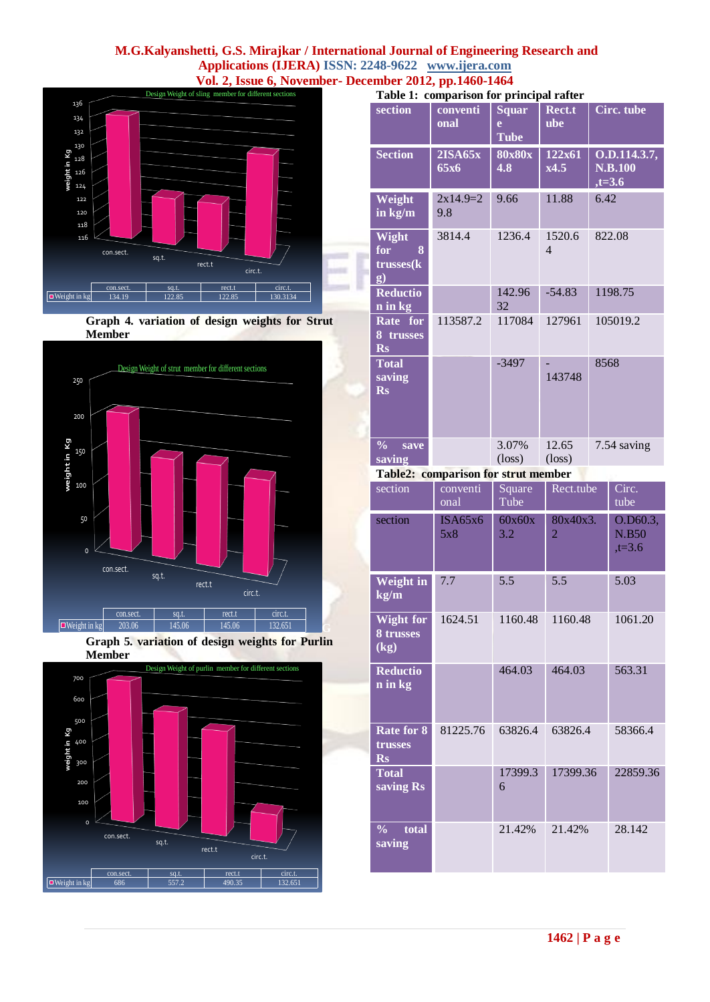

**Graph 4. variation of design weights for Strut Member** 



**Graph 5. variation of design weights for Purlin Member** 

**G**



| Table 1: comparison for principal rafter                    |                                     |                                  |                                    |      |                                            |  |
|-------------------------------------------------------------|-------------------------------------|----------------------------------|------------------------------------|------|--------------------------------------------|--|
| section                                                     | conventi<br>onal                    | <b>Squar</b><br>e<br><b>Tube</b> | Rect.t<br>ube                      |      | <b>Circ.</b> tube                          |  |
| <b>Section</b>                                              | 2ISA65x<br>65x6                     | <b>80x80x</b><br>4.8             | 122x61<br>x4.5                     |      | O.D.114.3.7,<br><b>N.B.100</b><br>$,t=3.6$ |  |
| Weight<br>in kg/m                                           | $2x14.9=2$<br>9.8                   | 9.66                             | 11.88                              |      | 6.42                                       |  |
| Wight<br>for<br>8<br>trusses(k<br>g)                        | 3814.4                              | 1236.4                           | 1520.6<br>$\overline{\mathcal{L}}$ |      | 822.08                                     |  |
| <b>Reductio</b><br>n in kg                                  |                                     | 142.96<br>32                     | $-54.83$                           |      | 1198.75                                    |  |
| Rate for<br>8 trusses<br><b>Rs</b>                          | 113587.2                            | 117084                           | 127961                             |      | 105019.2                                   |  |
| <b>Total</b><br>saving<br><b>Rs</b>                         |                                     | $-3497$                          | 143748                             | 8568 |                                            |  |
| $\frac{6}{10}$<br>save<br>saving                            |                                     | 3.07%<br>$(\text{loss})$         | 12.65<br>$(\text{loss})$           |      | 7.54 saving                                |  |
|                                                             | Table2: comparison for strut member |                                  |                                    |      |                                            |  |
| section                                                     | conventi<br>onal                    | Square<br>Tube                   | Rect.tube                          |      | Circ.<br>tube                              |  |
| section                                                     | ISA65x6<br>5x8                      | 60x60x<br>3.2                    | 80x40x3.<br>$\overline{2}$         |      | O.D60.3,<br><b>N.B50</b><br>$,t=3.6$       |  |
| Weight in<br>kg/m                                           | 7.7                                 | 5.5                              | 5.5                                |      |                                            |  |
| <b>Wight for</b><br>8 trusses<br>$\overline{(\mathbf{kg})}$ | 1624.51                             | 1160.48                          | 1160.48                            |      | 1061.20                                    |  |
| <b>Reductio</b><br>n in kg                                  |                                     | 464.03                           | 464.03                             |      | 563.31                                     |  |
| Rate for 8<br>trusses<br>$\mathbf{Rs}$                      | 81225.76                            | 63826.4                          | 63826.4                            |      | 58366.4                                    |  |
| <b>Total</b><br>saving Rs                                   |                                     | 17399.3<br>6                     | 17399.36                           |      | 22859.36                                   |  |
| total<br>$\frac{0}{0}$<br>saving                            |                                     | 21.42%                           | 21.42%                             |      | 28.142                                     |  |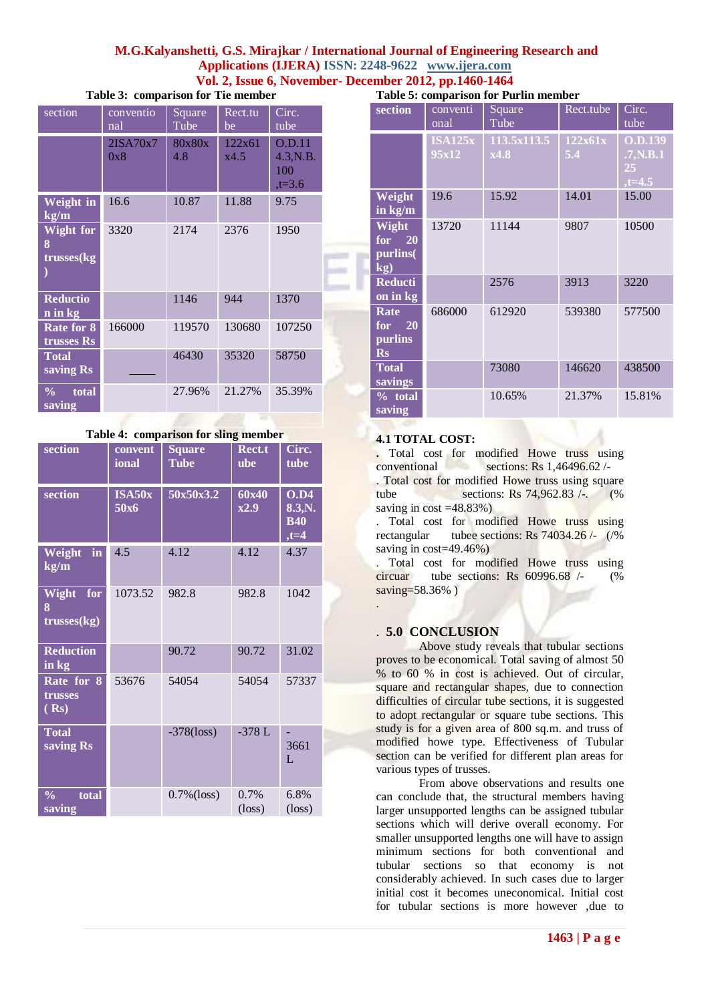|  | Table 3: comparison for Tie member |  |  |  |
|--|------------------------------------|--|--|--|
|--|------------------------------------|--|--|--|

| section                                             | conventio<br>nal | Square<br>Tube | Rect.tu<br>be  | Circ.<br>tube                         |  |
|-----------------------------------------------------|------------------|----------------|----------------|---------------------------------------|--|
|                                                     | 2ISA70x7<br>0x8  | 80x80x<br>4.8  | 122x61<br>x4.5 | O.D.11<br>4.3,N.B.<br>100<br>$,t=3.6$ |  |
| <b>Weight in</b><br>$\overline{\text{kg}}/\text{m}$ | 16.6             | 10.87          | 11.88          | 9.75                                  |  |
| <b>Wight for</b><br>8<br>trusses(kg                 | 3320             | 2174           | 2376           | 1950                                  |  |
| <b>Reductio</b><br>n in kg                          |                  | 1146           | 944            | 1370                                  |  |
| Rate for 8<br><b>trusses</b> Rs                     | 166000           | 119570         | 130680         | 107250                                |  |
| <b>Total</b><br>saving Rs                           |                  | 46430          | 35320          | 58750                                 |  |
| total<br>$\frac{0}{0}$<br>saving                    |                  | 27.96%         | 21.27%         | 35.39%                                |  |

**Table 4: comparison for sling member**

| r able +. Comparison for sing member |                  |                              |                            |                                         |  |  |
|--------------------------------------|------------------|------------------------------|----------------------------|-----------------------------------------|--|--|
| section                              | convent<br>ional | <b>Square</b><br><b>Tube</b> | Rect.t<br><b>ube</b>       | Circ.<br>tube                           |  |  |
| section                              | ISA50x<br>50x6   | 50x50x3.2                    | 60x40<br>x2.9              | O.D4<br>8.3, N.<br><b>B40</b><br>$,t=4$ |  |  |
| Weight<br>in<br>kg/m                 | 4.5              | 4.12                         | 4.12                       | 4.37                                    |  |  |
| Wight<br>for<br>8<br>trusses(kg)     | 1073.52          | 982.8                        | 982.8                      | 1042                                    |  |  |
| <b>Reduction</b><br>in kg            |                  | 90.72                        | 90.72                      | 31.02                                   |  |  |
| Rate for 8<br>trusses<br>(Rs)        | 53676            | 54054                        | 54054                      | 57337                                   |  |  |
| <b>Total</b><br>saving Rs            |                  | $-378$ (loss)                | $-378L$                    | 3661<br>L                               |  |  |
| $\frac{0}{0}$<br>total<br>saving     |                  | $0.7\%$ (loss)               | $0.7\%$<br>$(\text{loss})$ | 6.8%<br>$(\text{loss})$                 |  |  |

**Table 5: comparison for Purlin member** 

| section                                        | conventi<br>onal        | Square<br>Tube      | Rect.tube      | Circ.<br>tube                                 |  |  |  |
|------------------------------------------------|-------------------------|---------------------|----------------|-----------------------------------------------|--|--|--|
|                                                | <b>ISA125x</b><br>95x12 | 113.5x113.5<br>x4.8 | 122x61x<br>5.4 | <b>O.D.139</b><br>.7, N.B.1<br>25<br>$,t=4.5$ |  |  |  |
| Weight<br>in kg/m                              | 19.6                    | 15.92               | 14.01          | 15.00                                         |  |  |  |
| Wight<br>for $20$<br>purlins(<br>$\mathbf{kg}$ | 13720                   | 11144               | 9807           | 10500                                         |  |  |  |
| <b>Reducti</b><br>on in kg                     |                         | 2576                | 3913           | 3220                                          |  |  |  |
| Rate<br>for $20$<br>purlins<br>$\mathbf{R}s$   | 686000                  | 612920              | 539380         | 577500                                        |  |  |  |
| <b>Total</b><br>savings                        |                         | 73080               | 146620         | 438500                                        |  |  |  |
| % total<br>saving                              |                         | 10.65%              | 21.37%         | 15.81%                                        |  |  |  |

#### **4.1 TOTAL COST:**

**.** Total cost for modified Howe truss using conventional sections: Rs  $1,46496.62$  /-. Total cost for modified Howe truss using square tube sesections: Rs 74,962.83 /-. (%

saving in  $cost = 48.83\%$ )

. Total cost for modified Howe truss using rectangular tubee sections: Rs  $74034.26$  /- (/%) saving in cost=49.46%)

. Total cost for modified Howe truss using circuartube sections: Rs  $60996.68$  /- (%) saving=58.36% )

#### . **5.0 CONCLUSION**

.

Above study reveals that tubular sections proves to be economical. Total saving of almost 50 % to 60 % in cost is achieved. Out of circular, square and rectangular shapes, due to connection difficulties of circular tube sections, it is suggested to adopt rectangular or square tube sections. This study is for a given area of 800 sq.m. and truss of modified howe type. Effectiveness of Tubular section can be verified for different plan areas for various types of trusses.

From above observations and results one can conclude that, the structural members having larger unsupported lengths can be assigned tubular sections which will derive overall economy. For smaller unsupported lengths one will have to assign minimum sections for both conventional and tubular sections so that economy is not considerably achieved. In such cases due to larger initial cost it becomes uneconomical. Initial cost for tubular sections is more however ,due to